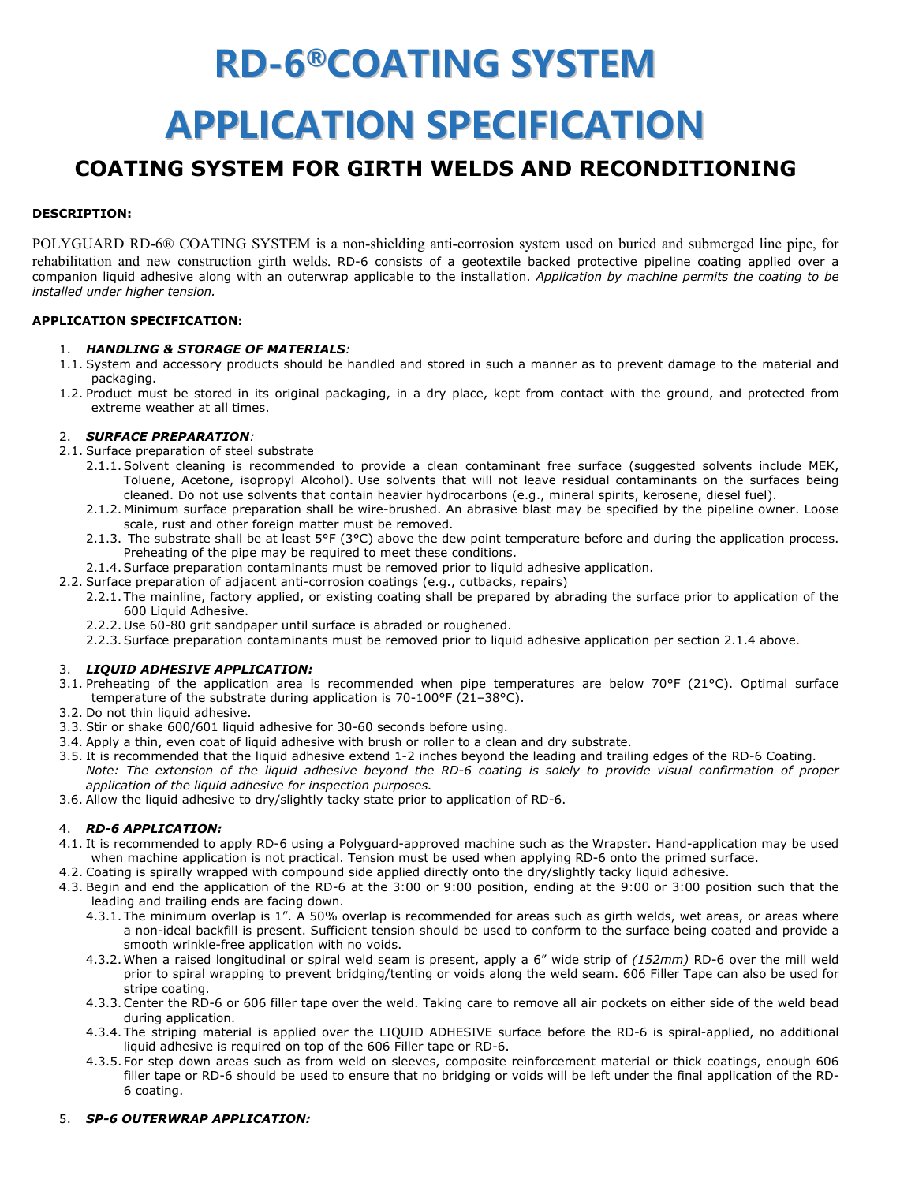# **RD-6®COATING SYSTEM APPLICATION SPECIFICATION**

# **COATING SYSTEM FOR GIRTH WELDS AND RECONDITIONING**

# **DESCRIPTION:**

POLYGUARD RD-6® COATING SYSTEM is a non-shielding anti-corrosion system used on buried and submerged line pipe, for rehabilitation and new construction girth welds. RD-6 consists of a geotextile backed protective pipeline coating applied over a companion liquid adhesive along with an outerwrap applicable to the installation. *Application by machine permits the coating to be installed under higher tension.*

# **APPLICATION SPECIFICATION:**

#### 1. *HANDLING & STORAGE OF MATERIALS:*

- 1.1. System and accessory products should be handled and stored in such a manner as to prevent damage to the material and packaging.
- 1.2. Product must be stored in its original packaging, in a dry place, kept from contact with the ground, and protected from extreme weather at all times.

#### 2. *SURFACE PREPARATION:*

- 2.1. Surface preparation of steel substrate
	- 2.1.1.Solvent cleaning is recommended to provide a clean contaminant free surface (suggested solvents include MEK, Toluene, Acetone, isopropyl Alcohol). Use solvents that will not leave residual contaminants on the surfaces being cleaned. Do not use solvents that contain heavier hydrocarbons (e.g., mineral spirits, kerosene, diesel fuel).
	- 2.1.2. Minimum surface preparation shall be wire-brushed. An abrasive blast may be specified by the pipeline owner. Loose scale, rust and other foreign matter must be removed.
	- 2.1.3. The substrate shall be at least 5°F (3°C) above the dew point temperature before and during the application process. Preheating of the pipe may be required to meet these conditions.
	- 2.1.4.Surface preparation contaminants must be removed prior to liquid adhesive application.
- 2.2. Surface preparation of adjacent anti-corrosion coatings (e.g., cutbacks, repairs)
	- 2.2.1. The mainline, factory applied, or existing coating shall be prepared by abrading the surface prior to application of the 600 Liquid Adhesive.
	- 2.2.2. Use 60-80 grit sandpaper until surface is abraded or roughened.
	- 2.2.3.Surface preparation contaminants must be removed prior to liquid adhesive application per section 2.1.4 above.

# 3. *LIQUID ADHESIVE APPLICATION:*

- 3.1. Preheating of the application area is recommended when pipe temperatures are below 70°F (21°C). Optimal surface temperature of the substrate during application is 70-100°F (21–38°C).
- 3.2. Do not thin liquid adhesive.
- 3.3. Stir or shake 600/601 liquid adhesive for 30-60 seconds before using.
- 3.4. Apply a thin, even coat of liquid adhesive with brush or roller to a clean and dry substrate.
- 3.5. It is recommended that the liquid adhesive extend 1-2 inches beyond the leading and trailing edges of the RD-6 Coating. *Note: The extension of the liquid adhesive beyond the RD-6 coating is solely to provide visual confirmation of proper application of the liquid adhesive for inspection purposes.*
- 3.6. Allow the liquid adhesive to dry/slightly tacky state prior to application of RD-6.

# 4. *RD-6 APPLICATION:*

- 4.1. It is recommended to apply RD-6 using a Polyguard-approved machine such as the Wrapster. Hand-application may be used when machine application is not practical. Tension must be used when applying RD-6 onto the primed surface.
- 4.2. Coating is spirally wrapped with compound side applied directly onto the dry/slightly tacky liquid adhesive.
- 4.3. Begin and end the application of the RD-6 at the 3:00 or 9:00 position, ending at the 9:00 or 3:00 position such that the leading and trailing ends are facing down.
	- 4.3.1. The minimum overlap is 1". A 50% overlap is recommended for areas such as girth welds, wet areas, or areas where a non-ideal backfill is present. Sufficient tension should be used to conform to the surface being coated and provide a smooth wrinkle-free application with no voids.
	- 4.3.2.When a raised longitudinal or spiral weld seam is present, apply a 6" wide strip of *(152mm)* RD-6 over the mill weld prior to spiral wrapping to prevent bridging/tenting or voids along the weld seam. 606 Filler Tape can also be used for stripe coating.
	- 4.3.3.Center the RD-6 or 606 filler tape over the weld. Taking care to remove all air pockets on either side of the weld bead during application.
	- 4.3.4. The striping material is applied over the LIQUID ADHESIVE surface before the RD-6 is spiral-applied, no additional liquid adhesive is required on top of the 606 Filler tape or RD-6.
	- 4.3.5. For step down areas such as from weld on sleeves, composite reinforcement material or thick coatings, enough 606 filler tape or RD-6 should be used to ensure that no bridging or voids will be left under the final application of the RD-6 coating.